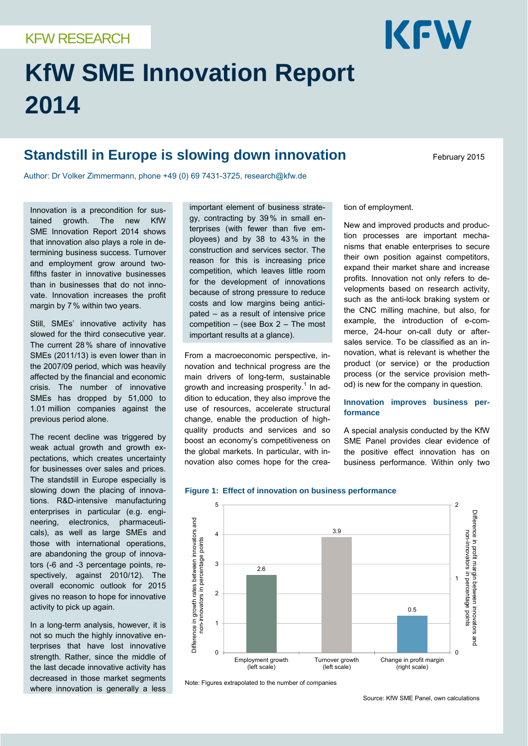# **KfW SME Innovation Report 2014**

# **Standstill in Europe is slowing down innovation** February 2015

KFW

Author: Dr Volker Zimmermann, phone +49 (0) 69 7431-3725, research@kfw.de

Innovation is a precondition for sustained growth. The new KfW SME Innovation Report 2014 shows that innovation also plays a role in determining business success. Turnover and employment grow around twofifths faster in innovative businesses than in businesses that do not innovate. Innovation increases the profit margin by 7% within two years.

Still, SMEs' innovative activity has slowed for the third consecutive year. The current 28% share of innovative SMEs (2011/13) is even lower than in the 2007/09 period, which was heavily affected by the financial and economic crisis. The number of innovative SMEs has dropped by 51,000 to 1.01 million companies against the previous period alone.

The recent decline was triggered by weak actual growth and growth expectations, which creates uncertainty for businesses over sales and prices. The standstill in Europe especially is slowing down the placing of innovations. R&D-intensive manufacturing enterprises in particular (e.g. engineering, electronics, pharmaceuticals), as well as large SMEs and those with international operations, are abandoning the group of innovators (-6 and -3 percentage points, respectively, against 2010/12). The overall economic outlook for 2015 gives no reason to hope for innovative activity to pick up again.

In a long-term analysis, however, it is not so much the highly innovative enterprises that have lost innovative strength. Rather, since the middle of the last decade innovative activity has decreased in those market segments where innovation is generally a less

important element of business strategy, contracting by 39% in small enterprises (with fewer than five employees) and by 38 to 43% in the construction and services sector. The reason for this is increasing price competition, which leaves little room for the development of innovations because of strong pressure to reduce costs and low margins being anticipated – as a result of intensive price competition – (see Box 2 – The most important results at a glance).

From a macroeconomic perspective, innovation and technical progress are the main drivers of long-term, sustainable growth and increasing prosperity.<sup>1</sup> In addition to education, they also improve the use of resources, accelerate structural change, enable the production of highquality products and services and so boost an economy's competitiveness on the global markets. In particular, with innovation also comes hope for the creation of employment.

New and improved products and production processes are important mechanisms that enable enterprises to secure their own position against competitors, expand their market share and increase profits. Innovation not only refers to developments based on research activity, such as the anti-lock braking system or the CNC milling machine, but also, for example, the introduction of e-commerce, 24-hour on-call duty or aftersales service. To be classified as an innovation, what is relevant is whether the product (or service) or the production process (or the service provision method) is new for the company in question.

# **Innovation improves business performance**

A special analysis conducted by the KfW SME Panel provides clear evidence of the positive effect innovation has on business performance. Within only two



**Figure 1: Effect of innovation on business performance** 

Note: Figures extrapolated to the number of companies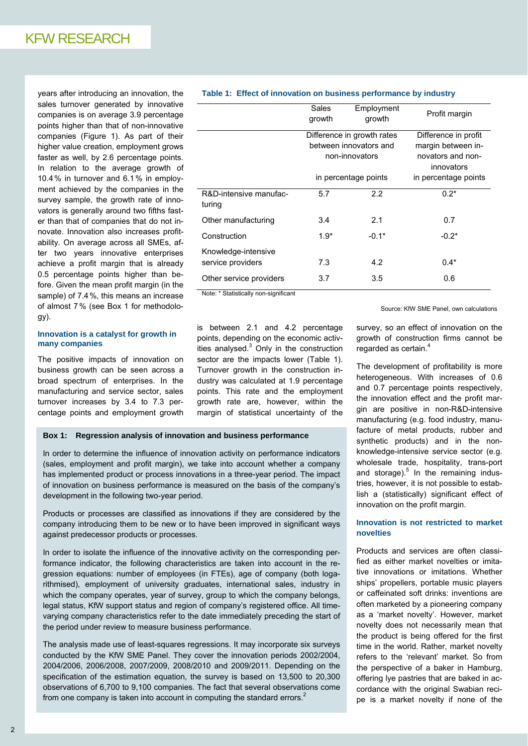years after introducing an innovation, the sales turnover generated by innovative companies is on average 3.9 percentage points higher than that of non-innovative companies (Figure 1). As part of their higher value creation, employment grows faster as well, by 2.6 percentage points. In relation to the average growth of 10.4% in turnover and 6.1% in employment achieved by the companies in the survey sample, the growth rate of innovators is generally around two fifths faster than that of companies that do not innovate. Innovation also increases profitability. On average across all SMEs, after two years innovative enterprises achieve a profit margin that is already 0.5 percentage points higher than before. Given the mean profit margin (in the sample) of 7.4%, this means an increase of almost 7% (see Box 1 for methodology).

# **Innovation is a catalyst for growth in many companies**

The positive impacts of innovation on business growth can be seen across a broad spectrum of enterprises. In the manufacturing and service sector, sales turnover increases by 3.4 to 7.3 percentage points and employment growth

# **Table 1: Effect of innovation on business performance by industry**

|                                          | Sales<br>growth                                                                                | Employment<br>growth | Profit margin                                                                                         |
|------------------------------------------|------------------------------------------------------------------------------------------------|----------------------|-------------------------------------------------------------------------------------------------------|
|                                          | Difference in growth rates<br>between innovators and<br>non-innovators<br>in percentage points |                      | Difference in profit<br>margin between in-<br>novators and non-<br>innovators<br>in percentage points |
| R&D-intensive manufac-<br>turing         | 5.7                                                                                            | 2.2                  | $0.2*$                                                                                                |
| Other manufacturing                      | 3.4                                                                                            | 2.1                  | 0.7                                                                                                   |
| Construction                             | $1.9*$                                                                                         | $-0.1*$              | $-0.2*$                                                                                               |
| Knowledge-intensive<br>service providers | 7.3                                                                                            | 4.2                  | $0.4*$                                                                                                |
| Other service providers                  | 3.7                                                                                            | 3.5                  | 0.6                                                                                                   |

Note: \* Statistically non-significant

is between 2.1 and 4.2 percentage points, depending on the economic activities analysed. $3$  Only in the construction sector are the impacts lower (Table 1). Turnover growth in the construction industry was calculated at 1.9 percentage points. This rate and the employment growth rate are, however, within the margin of statistical uncertainty of the

### **Box 1: Regression analysis of innovation and business performance**

In order to determine the influence of innovation activity on performance indicators (sales, employment and profit margin), we take into account whether a company has implemented product or process innovations in a three-year period. The impact of innovation on business performance is measured on the basis of the company's development in the following two-year period.

Products or processes are classified as innovations if they are considered by the company introducing them to be new or to have been improved in significant ways against predecessor products or processes.

In order to isolate the influence of the innovative activity on the corresponding performance indicator, the following characteristics are taken into account in the regression equations: number of employees (in FTEs), age of company (both logarithmised), employment of university graduates, international sales, industry in which the company operates, year of survey, group to which the company belongs, legal status, KfW support status and region of company's registered office. All timevarying company characteristics refer to the date immediately preceding the start of the period under review to measure business performance.

The analysis made use of least-squares regressions. It may incorporate six surveys conducted by the KfW SME Panel. They cover the innovation periods 2002/2004, 2004/2006, 2006/2008, 2007/2009, 2008/2010 and 2009/2011. Depending on the specification of the estimation equation, the survey is based on 13,500 to 20,300 observations of 6,700 to 9,100 companies. The fact that several observations come from one company is taken into account in computing the standard errors. $2^2$ 

Source: KfW SME Panel, own calculations

survey, so an effect of innovation on the growth of construction firms cannot be regarded as certain.<sup>4</sup>

The development of profitability is more heterogeneous. With increases of 0.6 and 0.7 percentage points respectively, the innovation effect and the profit margin are positive in non-R&D-intensive manufacturing (e.g. food industry, manufacture of metal products, rubber and synthetic products) and in the nonknowledge-intensive service sector (e.g. wholesale trade, hospitality, trans-port and storage). $5$  In the remaining industries, however, it is not possible to establish a (statistically) significant effect of innovation on the profit margin.

# **Innovation is not restricted to market novelties**

Products and services are often classified as either market novelties or imitative innovations or imitations. Whether ships' propellers, portable music players or caffeinated soft drinks: inventions are often marketed by a pioneering company as a 'market novelty'. However, market novelty does not necessarily mean that the product is being offered for the first time in the world. Rather, market novelty refers to the 'relevant' market. So from the perspective of a baker in Hamburg, offering lye pastries that are baked in accordance with the original Swabian recipe is a market novelty if none of the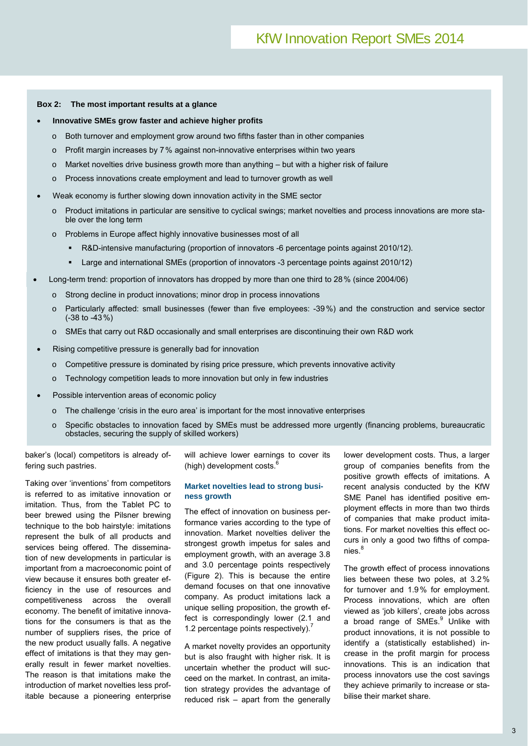#### **Box 2: The most important results at a glance**

#### **Innovative SMEs grow faster and achieve higher profits**

- $\circ$  Both turnover and employment grow around two fifths faster than in other companies
- o Profit margin increases by 7% against non-innovative enterprises within two years
- $\circ$  Market novelties drive business growth more than anything but with a higher risk of failure
- o Process innovations create employment and lead to turnover growth as well
- Weak economy is further slowing down innovation activity in the SME sector
	- o Product imitations in particular are sensitive to cyclical swings; market novelties and process innovations are more stable over the long term
	- o Problems in Europe affect highly innovative businesses most of all
		- R&D-intensive manufacturing (proportion of innovators -6 percentage points against 2010/12).
		- Large and international SMEs (proportion of innovators -3 percentage points against 2010/12)
- Long-term trend: proportion of innovators has dropped by more than one third to 28% (since 2004/06)
	- o Strong decline in product innovations; minor drop in process innovations
	- o Particularly affected: small businesses (fewer than five employees: -39%) and the construction and service sector (-38 to -43%)
	- o SMEs that carry out R&D occasionally and small enterprises are discontinuing their own R&D work
- Rising competitive pressure is generally bad for innovation
	- $\circ$  Competitive pressure is dominated by rising price pressure, which prevents innovative activity
	- o Technology competition leads to more innovation but only in few industries
- Possible intervention areas of economic policy
	- o The challenge 'crisis in the euro area' is important for the most innovative enterprises
	- o Specific obstacles to innovation faced by SMEs must be addressed more urgently (financing problems, bureaucratic obstacles, securing the supply of skilled workers)

baker's (local) competitors is already offering such pastries.

Taking over 'inventions' from competitors is referred to as imitative innovation or imitation. Thus, from the Tablet PC to beer brewed using the Pilsner brewing technique to the bob hairstyle: imitations represent the bulk of all products and services being offered. The dissemination of new developments in particular is important from a macroeconomic point of view because it ensures both greater efficiency in the use of resources and competitiveness across the overall economy. The benefit of imitative innovations for the consumers is that as the number of suppliers rises, the price of the new product usually falls. A negative effect of imitations is that they may generally result in fewer market novelties. The reason is that imitations make the introduction of market novelties less profitable because a pioneering enterprise

will achieve lower earnings to cover its (high) development costs. $6$ 

#### **Market novelties lead to strong business growth**

The effect of innovation on business performance varies according to the type of innovation. Market novelties deliver the strongest growth impetus for sales and employment growth, with an average 3.8 and 3.0 percentage points respectively (Figure 2). This is because the entire demand focuses on that one innovative company. As product imitations lack a unique selling proposition, the growth effect is correspondingly lower (2.1 and 1.2 percentage points respectively). $<sup>7</sup>$ </sup>

A market novelty provides an opportunity but is also fraught with higher risk. It is uncertain whether the product will succeed on the market. In contrast, an imitation strategy provides the advantage of reduced risk – apart from the generally

lower development costs. Thus, a larger group of companies benefits from the positive growth effects of imitations. A recent analysis conducted by the KfW SME Panel has identified positive employment effects in more than two thirds of companies that make product imitations. For market novelties this effect occurs in only a good two fifths of companies.<sup>8</sup>

The growth effect of process innovations lies between these two poles, at 3.2% for turnover and 1.9% for employment. Process innovations, which are often viewed as 'job killers', create jobs across a broad range of SMEs.<sup>9</sup> Unlike with product innovations, it is not possible to identify a (statistically established) increase in the profit margin for process innovations. This is an indication that process innovators use the cost savings they achieve primarily to increase or stabilise their market share.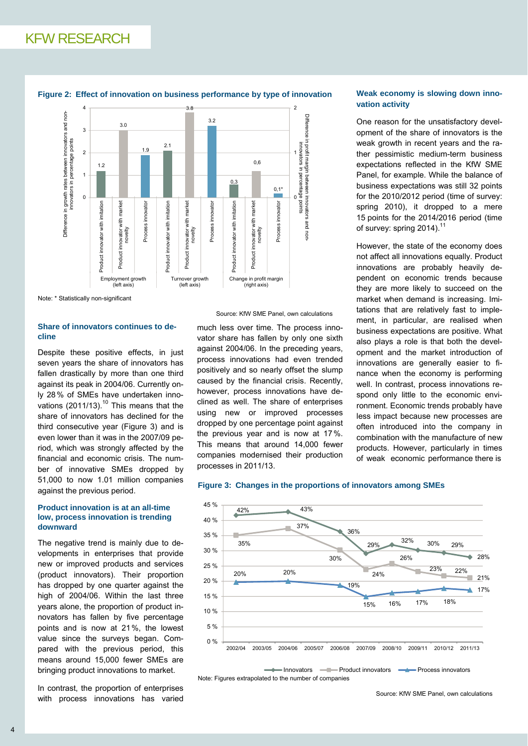

**Figure 2: Effect of innovation on business performance by type of innovation**

Note: \* Statistically non-significant

# **Share of innovators continues to decline**

Despite these positive effects, in just seven years the share of innovators has fallen drastically by more than one third against its peak in 2004/06. Currently only 28% of SMEs have undertaken innovations  $(2011/13)$ .<sup>10</sup> This means that the share of innovators has declined for the third consecutive year (Figure 3) and is even lower than it was in the 2007/09 period, which was strongly affected by the financial and economic crisis. The number of innovative SMEs dropped by 51,000 to now 1.01 million companies against the previous period.

## **Product innovation is at an all-time low, process innovation is trending downward**

The negative trend is mainly due to developments in enterprises that provide new or improved products and services (product innovators). Their proportion has dropped by one quarter against the high of 2004/06. Within the last three years alone, the proportion of product innovators has fallen by five percentage points and is now at 21%, the lowest value since the surveys began. Compared with the previous period, this means around 15,000 fewer SMEs are bringing product innovations to market.

In contrast, the proportion of enterprises with process innovations has varied

#### Source: KfW SME Panel, own calculations

much less over time. The process innovator share has fallen by only one sixth against 2004/06. In the preceding years, process innovations had even trended positively and so nearly offset the slump caused by the financial crisis. Recently, however, process innovations have declined as well. The share of enterprises using new or improved processes dropped by one percentage point against the previous year and is now at 17%. This means that around 14,000 fewer companies modernised their production processes in 2011/13.

# **Weak economy is slowing down innovation activity**

One reason for the unsatisfactory development of the share of innovators is the weak growth in recent years and the rather pessimistic medium-term business expectations reflected in the KfW SME Panel, for example. While the balance of business expectations was still 32 points for the 2010/2012 period (time of survey: spring 2010), it dropped to a mere 15 points for the 2014/2016 period (time of survey: spring 2014).<sup>11</sup>

However, the state of the economy does not affect all innovations equally. Product innovations are probably heavily dependent on economic trends because they are more likely to succeed on the market when demand is increasing. Imitations that are relatively fast to implement, in particular, are realised when business expectations are positive. What also plays a role is that both the development and the market introduction of innovations are generally easier to finance when the economy is performing well. In contrast, process innovations respond only little to the economic environment. Economic trends probably have less impact because new processes are often introduced into the company in combination with the manufacture of new products. However, particularly in times of weak economic performance there is

#### **Figure 3: Changes in the proportions of innovators among SMEs**



Note: Figures extrapolated to the number of companies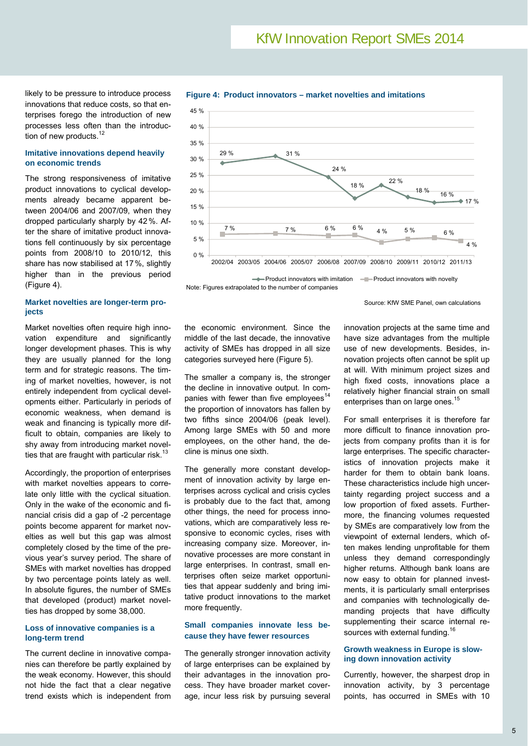likely to be pressure to introduce process innovations that reduce costs, so that enterprises forego the introduction of new processes less often than the introduction of new products.<sup>12</sup>

#### **Imitative innovations depend heavily on economic trends**

The strong responsiveness of imitative product innovations to cyclical developments already became apparent between 2004/06 and 2007/09, when they dropped particularly sharply by 42%. After the share of imitative product innovations fell continuously by six percentage points from 2008/10 to 2010/12, this share has now stabilised at 17%, slightly higher than in the previous period (Figure 4).

# **Market novelties are longer-term projects**

Market novelties often require high innovation expenditure and significantly longer development phases. This is why they are usually planned for the long term and for strategic reasons. The timing of market novelties, however, is not entirely independent from cyclical developments either. Particularly in periods of economic weakness, when demand is weak and financing is typically more difficult to obtain, companies are likely to shy away from introducing market novelties that are fraught with particular risk. $13$ 

Accordingly, the proportion of enterprises with market novelties appears to correlate only little with the cyclical situation. Only in the wake of the economic and financial crisis did a gap of -2 percentage points become apparent for market novelties as well but this gap was almost completely closed by the time of the previous year's survey period. The share of SMEs with market novelties has dropped by two percentage points lately as well. In absolute figures, the number of SMEs that developed (product) market novelties has dropped by some 38,000.

## **Loss of innovative companies is a long-term trend**

The current decline in innovative companies can therefore be partly explained by the weak economy. However, this should not hide the fact that a clear negative trend exists which is independent from



**Figure 4: Product innovators – market novelties and imitations** 

Note: Figures extrapolated to the number of companies

Source: KfW SME Panel, own calculations

the economic environment. Since the middle of the last decade, the innovative activity of SMEs has dropped in all size categories surveyed here (Figure 5).

The smaller a company is, the stronger the decline in innovative output. In companies with fewer than five employees<sup>14</sup> the proportion of innovators has fallen by two fifths since 2004/06 (peak level). Among large SMEs with 50 and more employees, on the other hand, the decline is minus one sixth.

The generally more constant development of innovation activity by large enterprises across cyclical and crisis cycles is probably due to the fact that, among other things, the need for process innovations, which are comparatively less responsive to economic cycles, rises with increasing company size. Moreover, innovative processes are more constant in large enterprises. In contrast, small enterprises often seize market opportunities that appear suddenly and bring imitative product innovations to the market more frequently.

# **Small companies innovate less because they have fewer resources**

The generally stronger innovation activity of large enterprises can be explained by their advantages in the innovation process. They have broader market coverage, incur less risk by pursuing several

innovation projects at the same time and have size advantages from the multiple use of new developments. Besides, innovation projects often cannot be split up at will. With minimum project sizes and high fixed costs, innovations place a relatively higher financial strain on small enterprises than on large ones.<sup>15</sup>

For small enterprises it is therefore far more difficult to finance innovation projects from company profits than it is for large enterprises. The specific characteristics of innovation projects make it harder for them to obtain bank loans. These characteristics include high uncertainty regarding project success and a low proportion of fixed assets. Furthermore, the financing volumes requested by SMEs are comparatively low from the viewpoint of external lenders, which often makes lending unprofitable for them unless they demand correspondingly higher returns. Although bank loans are now easy to obtain for planned investments, it is particularly small enterprises and companies with technologically demanding projects that have difficulty supplementing their scarce internal resources with external funding.<sup>16</sup>

### **Growth weakness in Europe is slowing down innovation activity**

Currently, however, the sharpest drop in innovation activity, by 3 percentage points, has occurred in SMEs with 10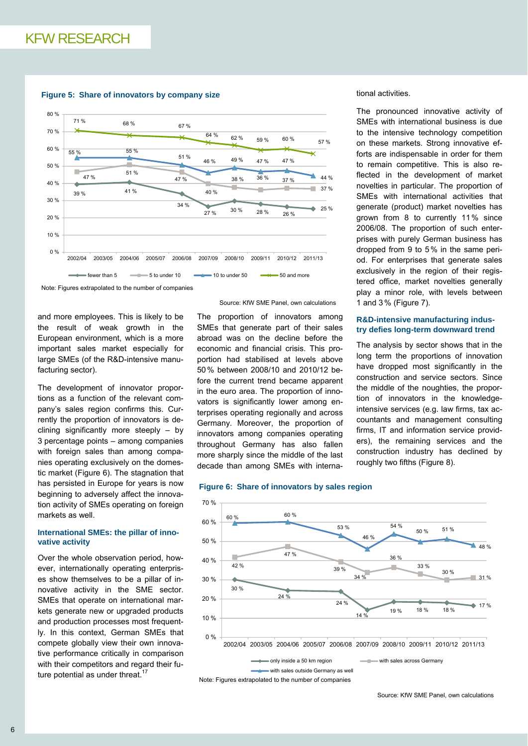#### **Figure 5: Share of innovators by company size**



Note: Figures extrapolated to the number of companies

and more employees. This is likely to be the result of weak growth in the European environment, which is a more important sales market especially for large SMEs (of the R&D-intensive manufacturing sector).

The development of innovator proportions as a function of the relevant company's sales region confirms this. Currently the proportion of innovators is declining significantly more steeply – by 3 percentage points – among companies with foreign sales than among companies operating exclusively on the domestic market (Figure 6). The stagnation that has persisted in Europe for years is now beginning to adversely affect the innovation activity of SMEs operating on foreign markets as well.

## **International SMEs: the pillar of innovative activity**

Over the whole observation period, however, internationally operating enterprises show themselves to be a pillar of innovative activity in the SME sector. SMEs that operate on international markets generate new or upgraded products and production processes most frequently. In this context, German SMEs that compete globally view their own innovative performance critically in comparison with their competitors and regard their future potential as under threat. $17$ 

Source: KfW SME Panel, own calculations

The proportion of innovators among SMEs that generate part of their sales abroad was on the decline before the economic and financial crisis. This proportion had stabilised at levels above 50% between 2008/10 and 2010/12 before the current trend became apparent in the euro area. The proportion of innovators is significantly lower among enterprises operating regionally and across Germany. Moreover, the proportion of innovators among companies operating throughout Germany has also fallen more sharply since the middle of the last decade than among SMEs with interna-

# tional activities.

The pronounced innovative activity of SMEs with international business is due to the intensive technology competition on these markets. Strong innovative efforts are indispensable in order for them to remain competitive. This is also reflected in the development of market novelties in particular. The proportion of SMEs with international activities that generate (product) market novelties has grown from 8 to currently 11% since 2006/08. The proportion of such enterprises with purely German business has dropped from 9 to 5% in the same period. For enterprises that generate sales exclusively in the region of their registered office, market novelties generally play a minor role, with levels between 1 and 3% (Figure 7).

#### **R&D-intensive manufacturing industry defies long-term downward trend**

The analysis by sector shows that in the long term the proportions of innovation have dropped most significantly in the construction and service sectors. Since the middle of the noughties, the proportion of innovators in the knowledgeintensive services (e.g. law firms, tax accountants and management consulting firms, IT and information service providers), the remaining services and the construction industry has declined by roughly two fifths (Figure 8).



**Figure 6: Share of innovators by sales region**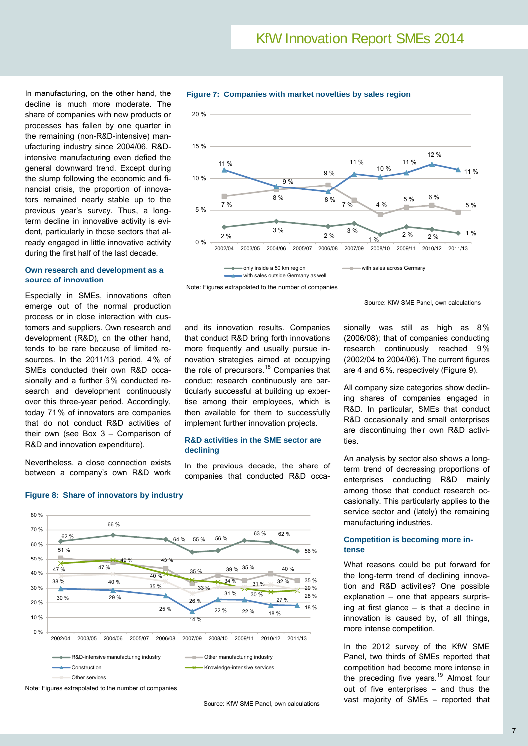In manufacturing, on the other hand, the decline is much more moderate. The share of companies with new products or processes has fallen by one quarter in the remaining (non-R&D-intensive) manufacturing industry since 2004/06. R&Dintensive manufacturing even defied the general downward trend. Except during the slump following the economic and financial crisis, the proportion of innovators remained nearly stable up to the previous year's survey. Thus, a longterm decline in innovative activity is evident, particularly in those sectors that already engaged in little innovative activity during the first half of the last decade.

## **Own research and development as a source of innovation**

Especially in SMEs, innovations often emerge out of the normal production process or in close interaction with customers and suppliers. Own research and development (R&D), on the other hand, tends to be rare because of limited resources. In the 2011/13 period, 4% of SMEs conducted their own R&D occasionally and a further 6% conducted research and development continuously over this three-year period. Accordingly, today 71% of innovators are companies that do not conduct R&D activities of their own (see Box 3 – Comparison of R&D and innovation expenditure).

Nevertheless, a close connection exists between a company's own R&D work



**Figure 7: Companies with market novelties by sales region** 

only inside a 50 km region states across Germany with sales outside Germany as well

Note: Figures extrapolated to the number of companies

Source: KfW SME Panel, own calculations

and its innovation results. Companies that conduct R&D bring forth innovations more frequently and usually pursue innovation strategies aimed at occupying the role of precursors.<sup>18</sup> Companies that conduct research continuously are particularly successful at building up expertise among their employees, which is then available for them to successfully implement further innovation projects.

## **R&D activities in the SME sector are declining**

In the previous decade, the share of companies that conducted R&D occasionally was still as high as 8% (2006/08); that of companies conducting research continuously reached 9% (2002/04 to 2004/06). The current figures are 4 and 6%, respectively (Figure 9).

All company size categories show declining shares of companies engaged in R&D. In particular, SMEs that conduct R&D occasionally and small enterprises are discontinuing their own R&D activities.

An analysis by sector also shows a longterm trend of decreasing proportions of enterprises conducting R&D mainly among those that conduct research occasionally. This particularly applies to the service sector and (lately) the remaining manufacturing industries.

# **Competition is becoming more intense**

What reasons could be put forward for the long-term trend of declining innovation and R&D activities? One possible explanation – one that appears surprising at first glance – is that a decline in innovation is caused by, of all things, more intense competition.

In the 2012 survey of the KfW SME Panel, two thirds of SMEs reported that competition had become more intense in the preceding five years.<sup>19</sup> Almost four out of five enterprises – and thus the vast majority of SMEs – reported that



# **Figure 8: Share of innovators by industry**

Note: Figures extrapolated to the number of companies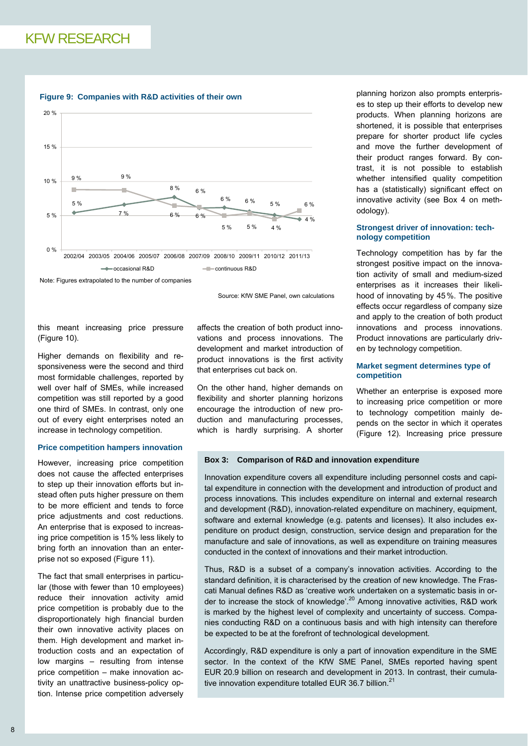

#### **Figure 9: Companies with R&D activities of their own**

Note: Figures extrapolated to the number of companies

Source: KfW SME Panel, own calculations

this meant increasing price pressure (Figure 10).

Higher demands on flexibility and responsiveness were the second and third most formidable challenges, reported by well over half of SMEs, while increased competition was still reported by a good one third of SMEs. In contrast, only one out of every eight enterprises noted an increase in technology competition.

### **Price competition hampers innovation**

However, increasing price competition does not cause the affected enterprises to step up their innovation efforts but instead often puts higher pressure on them to be more efficient and tends to force price adjustments and cost reductions. An enterprise that is exposed to increasing price competition is 15% less likely to bring forth an innovation than an enterprise not so exposed (Figure 11).

The fact that small enterprises in particular (those with fewer than 10 employees) reduce their innovation activity amid price competition is probably due to the disproportionately high financial burden their own innovative activity places on them. High development and market introduction costs and an expectation of low margins – resulting from intense price competition – make innovation activity an unattractive business-policy option. Intense price competition adversely affects the creation of both product innovations and process innovations. The development and market introduction of product innovations is the first activity that enterprises cut back on.

On the other hand, higher demands on flexibility and shorter planning horizons encourage the introduction of new production and manufacturing processes, which is hardly surprising. A shorter

planning horizon also prompts enterprises to step up their efforts to develop new products. When planning horizons are shortened, it is possible that enterprises prepare for shorter product life cycles and move the further development of their product ranges forward. By contrast, it is not possible to establish whether intensified quality competition has a (statistically) significant effect on innovative activity (see Box 4 on methodology).

## **Strongest driver of innovation: technology competition**

Technology competition has by far the strongest positive impact on the innovation activity of small and medium-sized enterprises as it increases their likelihood of innovating by 45%. The positive effects occur regardless of company size and apply to the creation of both product innovations and process innovations. Product innovations are particularly driven by technology competition.

# **Market segment determines type of competition**

Whether an enterprise is exposed more to increasing price competition or more to technology competition mainly depends on the sector in which it operates (Figure 12). Increasing price pressure

#### **Box 3: Comparison of R&D and innovation expenditure**

Innovation expenditure covers all expenditure including personnel costs and capital expenditure in connection with the development and introduction of product and process innovations. This includes expenditure on internal and external research and development (R&D), innovation-related expenditure on machinery, equipment, software and external knowledge (e.g. patents and licenses). It also includes expenditure on product design, construction, service design and preparation for the manufacture and sale of innovations, as well as expenditure on training measures conducted in the context of innovations and their market introduction.

Thus, R&D is a subset of a company's innovation activities. According to the standard definition, it is characterised by the creation of new knowledge. The Frascati Manual defines R&D as 'creative work undertaken on a systematic basis in order to increase the stock of knowledge'.<sup>20</sup> Among innovative activities, R&D work is marked by the highest level of complexity and uncertainty of success. Companies conducting R&D on a continuous basis and with high intensity can therefore be expected to be at the forefront of technological development.

Accordingly, R&D expenditure is only a part of innovation expenditure in the SME sector. In the context of the KfW SME Panel, SMEs reported having spent EUR 20.9 billion on research and development in 2013. In contrast, their cumulative innovation expenditure totalled EUR 36.7 billion.<sup>21</sup>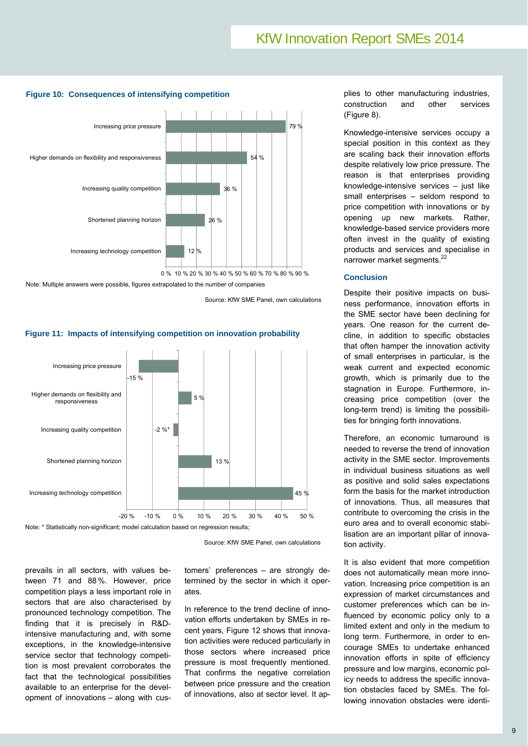

## **Figure 10: Consequences of intensifying competition**

Note: Multiple answers were possible, figures extrapolated to the number of companies

Source: KfW SME Panel, own calculations

Note: \* Statistically non-significant; model calculation based on regression results; 45 % 13 %  $-2 \%$ 5 % -15 % -20 % -10 % 0 % 10 % 20 % 30 % 40 % 50 % Increasing technology competition Shortened planning horizon Increasing quality competition Higher demands on flexibility and responsiveness Increasing price pressure

**Figure 11: Impacts of intensifying competition on innovation probability** 

Source: KfW SME Panel, own calculations

prevails in all sectors, with values between 71 and 88%. However, price competition plays a less important role in sectors that are also characterised by pronounced technology competition. The finding that it is precisely in R&Dintensive manufacturing and, with some exceptions, in the knowledge-intensive service sector that technology competition is most prevalent corroborates the fact that the technological possibilities available to an enterprise for the development of innovations – along with cus-

tomers' preferences – are strongly determined by the sector in which it operates.

In reference to the trend decline of innovation efforts undertaken by SMEs in recent years, Figure 12 shows that innovation activities were reduced particularly in those sectors where increased price pressure is most frequently mentioned. That confirms the negative correlation between price pressure and the creation of innovations, also at sector level. It applies to other manufacturing industries, construction and other services (Figure 8).

Knowledge-intensive services occupy a special position in this context as they are scaling back their innovation efforts despite relatively low price pressure. The reason is that enterprises providing knowledge-intensive services – just like small enterprises – seldom respond to price competition with innovations or by opening up new markets. Rather, knowledge-based service providers more often invest in the quality of existing products and services and specialise in narrower market segments.<sup>22</sup>

# **Conclusion**

Despite their positive impacts on business performance, innovation efforts in the SME sector have been declining for years. One reason for the current decline, in addition to specific obstacles that often hamper the innovation activity of small enterprises in particular, is the weak current and expected economic growth, which is primarily due to the stagnation in Europe. Furthermore, increasing price competition (over the long-term trend) is limiting the possibilities for bringing forth innovations.

Therefore, an economic turnaround is needed to reverse the trend of innovation activity in the SME sector. Improvements in individual business situations as well as positive and solid sales expectations form the basis for the market introduction of innovations. Thus, all measures that contribute to overcoming the crisis in the euro area and to overall economic stabilisation are an important pillar of innovation activity.

It is also evident that more competition does not automatically mean more innovation. Increasing price competition is an expression of market circumstances and customer preferences which can be influenced by economic policy only to a limited extent and only in the medium to long term. Furthermore, in order to encourage SMEs to undertake enhanced innovation efforts in spite of efficiency pressure and low margins, economic policy needs to address the specific innovation obstacles faced by SMEs. The following innovation obstacles were identi-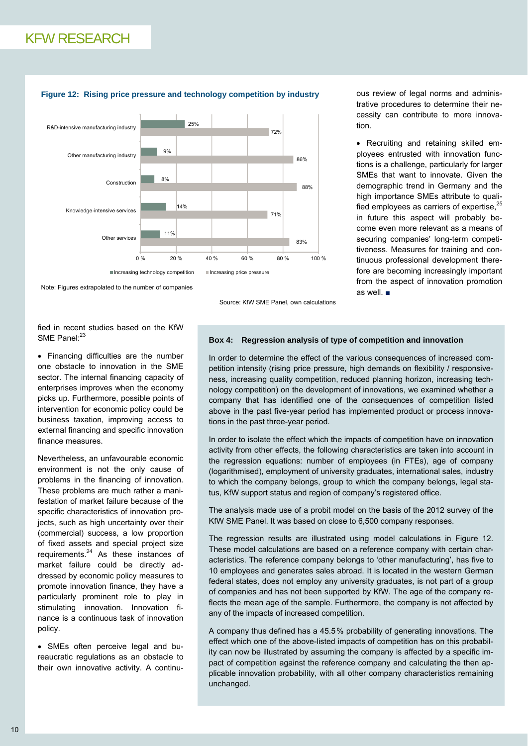

#### **Figure 12: Rising price pressure and technology competition by industry**

Note: Figures extrapolated to the number of companies

Source: KfW SME Panel, own calculations

ous review of legal norms and administrative procedures to determine their necessity can contribute to more innovation.

 Recruiting and retaining skilled employees entrusted with innovation functions is a challenge, particularly for larger SMEs that want to innovate. Given the demographic trend in Germany and the high importance SMEs attribute to qualified employees as carriers of expertise, $25$ in future this aspect will probably become even more relevant as a means of securing companies' long-term competitiveness. Measures for training and continuous professional development therefore are becoming increasingly important from the aspect of innovation promotion as well ■

fied in recent studies based on the KfW SME Panel:<sup>23</sup>

• Financing difficulties are the number one obstacle to innovation in the SME sector. The internal financing capacity of enterprises improves when the economy picks up. Furthermore, possible points of intervention for economic policy could be business taxation, improving access to external financing and specific innovation finance measures.

Nevertheless, an unfavourable economic environment is not the only cause of problems in the financing of innovation. These problems are much rather a manifestation of market failure because of the specific characteristics of innovation projects, such as high uncertainty over their (commercial) success, a low proportion of fixed assets and special project size requirements. $24$  As these instances of market failure could be directly addressed by economic policy measures to promote innovation finance, they have a particularly prominent role to play in stimulating innovation. Innovation finance is a continuous task of innovation policy.

• SMEs often perceive legal and bureaucratic regulations as an obstacle to their own innovative activity. A continu-

# **Box 4: Regression analysis of type of competition and innovation**

In order to determine the effect of the various consequences of increased competition intensity (rising price pressure, high demands on flexibility / responsiveness, increasing quality competition, reduced planning horizon, increasing technology competition) on the development of innovations, we examined whether a company that has identified one of the consequences of competition listed above in the past five-year period has implemented product or process innovations in the past three-year period.

In order to isolate the effect which the impacts of competition have on innovation activity from other effects, the following characteristics are taken into account in the regression equations: number of employees (in FTEs), age of company (logarithmised), employment of university graduates, international sales, industry to which the company belongs, group to which the company belongs, legal status, KfW support status and region of company's registered office.

The analysis made use of a probit model on the basis of the 2012 survey of the KfW SME Panel. It was based on close to 6,500 company responses.

The regression results are illustrated using model calculations in Figure 12. These model calculations are based on a reference company with certain characteristics. The reference company belongs to 'other manufacturing', has five to 10 employees and generates sales abroad. It is located in the western German federal states, does not employ any university graduates, is not part of a group of companies and has not been supported by KfW. The age of the company reflects the mean age of the sample. Furthermore, the company is not affected by any of the impacts of increased competition.

A company thus defined has a 45.5% probability of generating innovations. The effect which one of the above-listed impacts of competition has on this probability can now be illustrated by assuming the company is affected by a specific impact of competition against the reference company and calculating the then applicable innovation probability, with all other company characteristics remaining unchanged.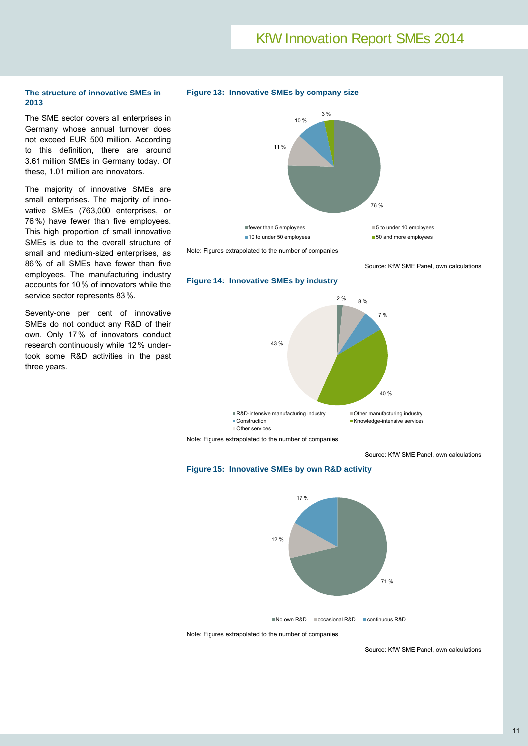# KfW Innovation Report SMEs 2014

# **The structure of innovative SMEs in 2013**

The SME sector covers all enterprises in Germany whose annual turnover does not exceed EUR 500 million. According to this definition, there are around 3.61 million SMEs in Germany today. Of these, 1.01 million are innovators.

The majority of innovative SMEs are small enterprises. The majority of innovative SMEs (763,000 enterprises, or 76%) have fewer than five employees. This high proportion of small innovative SMEs is due to the overall structure of small and medium-sized enterprises, as 86% of all SMEs have fewer than five employees. The manufacturing industry accounts for 10% of innovators while the service sector represents 83%.

Seventy-one per cent of innovative SMEs do not conduct any R&D of their own. Only 17% of innovators conduct research continuously while 12% undertook some R&D activities in the past three years.



Note: Figures extrapolated to the number of companies

Source: KfW SME Panel, own calculations





Note: Figures extrapolated to the number of companies

Source: KfW SME Panel, own calculations





Note: Figures extrapolated to the number of companies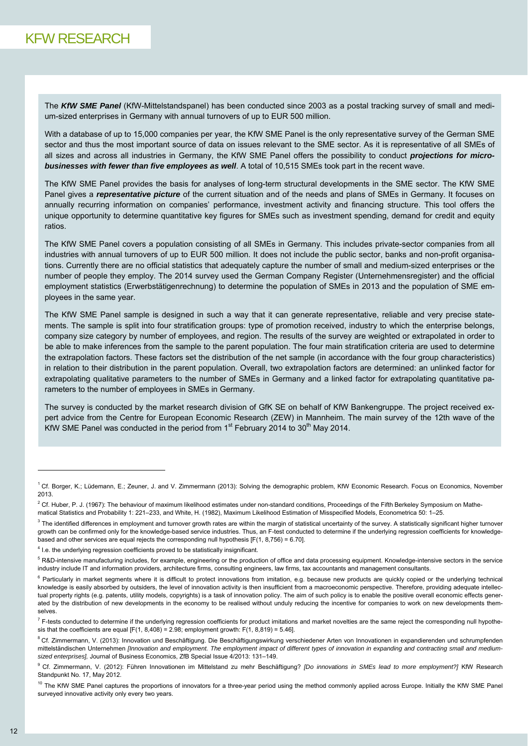The *KfW SME Panel* (KfW-Mittelstandspanel) has been conducted since 2003 as a postal tracking survey of small and medium-sized enterprises in Germany with annual turnovers of up to EUR 500 million.

With a database of up to 15,000 companies per year, the KfW SME Panel is the only representative survey of the German SME sector and thus the most important source of data on issues relevant to the SME sector. As it is representative of all SMEs of all sizes and across all industries in Germany, the KfW SME Panel offers the possibility to conduct *projections for microbusinesses with fewer than five employees as well*. A total of 10,515 SMEs took part in the recent wave.

The KfW SME Panel provides the basis for analyses of long-term structural developments in the SME sector. The KfW SME Panel gives a *representative picture* of the current situation and of the needs and plans of SMEs in Germany. It focuses on annually recurring information on companies' performance, investment activity and financing structure. This tool offers the unique opportunity to determine quantitative key figures for SMEs such as investment spending, demand for credit and equity ratios.

The KfW SME Panel covers a population consisting of all SMEs in Germany. This includes private-sector companies from all industries with annual turnovers of up to EUR 500 million. It does not include the public sector, banks and non-profit organisations. Currently there are no official statistics that adequately capture the number of small and medium-sized enterprises or the number of people they employ. The 2014 survey used the German Company Register (Unternehmensregister) and the official employment statistics (Erwerbstätigenrechnung) to determine the population of SMEs in 2013 and the population of SME employees in the same year.

The KfW SME Panel sample is designed in such a way that it can generate representative, reliable and very precise statements. The sample is split into four stratification groups: type of promotion received, industry to which the enterprise belongs, company size category by number of employees, and region. The results of the survey are weighted or extrapolated in order to be able to make inferences from the sample to the parent population. The four main stratification criteria are used to determine the extrapolation factors. These factors set the distribution of the net sample (in accordance with the four group characteristics) in relation to their distribution in the parent population. Overall, two extrapolation factors are determined: an unlinked factor for extrapolating qualitative parameters to the number of SMEs in Germany and a linked factor for extrapolating quantitative parameters to the number of employees in SMEs in Germany.

The survey is conducted by the market research division of GfK SE on behalf of KfW Bankengruppe. The project received expert advice from the Centre for European Economic Research (ZEW) in Mannheim. The main survey of the 12th wave of the KfW SME Panel was conducted in the period from  $1<sup>st</sup>$  February 2014 to 30<sup>th</sup> May 2014.

 

<sup>1</sup> Cf. Borger, K.; Lüdemann, E.; Zeuner, J. and V. Zimmermann (2013): Solving the demographic problem, KfW Economic Research. Focus on Economics, November 2013.

 $^2$  Cf. Huber, P. J. (1967): The behaviour of maximum likelihood estimates under non-standard conditions, Proceedings of the Fifth Berkeley Symposium on Mathematical Statistics and Probability 1: 221–233, and White, H. (1982), Maximum Likelihood Estimation of Misspecified Models, Econometrica 50: 1–25.

 $^3$  The identified differences in employment and turnover growth rates are within the margin of statistical uncertainty of the survey. A statistically significant higher turnover growth can be confirmed only for the knowledge-based service industries. Thus, an F-test conducted to determine if the underlying regression coefficients for knowledgebased and other services are equal rejects the corresponding null hypothesis  $[F(1, 8, 756) = 6.70]$ .

 $<sup>4</sup>$  I.e. the underlying regression coefficients proved to be statistically insignificant.</sup>

<sup>&</sup>lt;sup>5</sup> R&D-intensive manufacturing includes, for example, engineering or the production of office and data processing equipment. Knowledge-intensive sectors in the service industry include IT and information providers, architecture firms, consulting engineers, law firms, tax accountants and management consultants.

<sup>&</sup>lt;sup>6</sup> Particularly in market segments where it is difficult to protect innovations from imitation, e.g. because new products are quickly copied or the underlying technical knowledge is easily absorbed by outsiders, the level of innovation activity is then insufficient from a macroeconomic perspective. Therefore, providing adequate intellectual property rights (e.g. patents, utility models, copyrights) is a task of innovation policy. The aim of such policy is to enable the positive overall economic effects generated by the distribution of new developments in the economy to be realised without unduly reducing the incentive for companies to work on new developments themselves.

<sup>&</sup>lt;sup>7</sup> F-tests conducted to determine if the underlying regression coefficients for product imitations and market novelties are the same reject the corresponding null hypothesis that the coefficients are equal  $[F(1, 8.408) = 2.98$ ; employment growth:  $F(1, 8.819) = 5.46$ .

<sup>&</sup>lt;sup>8</sup> Cf. Zimmermann, V. (2013): Innovation und Beschäftigung. Die Beschäftigungswirkung verschiedener Arten von Innovationen in expandierenden und schrumpfenden mittelständischen Unternehmen *[Innovation and employment. The employment impact of different types of innovation in expanding and contracting small and mediumsized enterprises],* Journal of Business Economics, ZfB Special Issue 4/2013: 131–149.

<sup>9</sup> Cf. Zimmermann, V. (2012): Führen Innovationen im Mittelstand zu mehr Beschäftigung? *[Do innovations in SMEs lead to more employment?]* KfW Research Standpunkt No. 17, May 2012.

<sup>&</sup>lt;sup>10</sup> The KfW SME Panel captures the proportions of innovators for a three-year period using the method commonly applied across Europe. Initially the KfW SME Panel surveyed innovative activity only every two years.